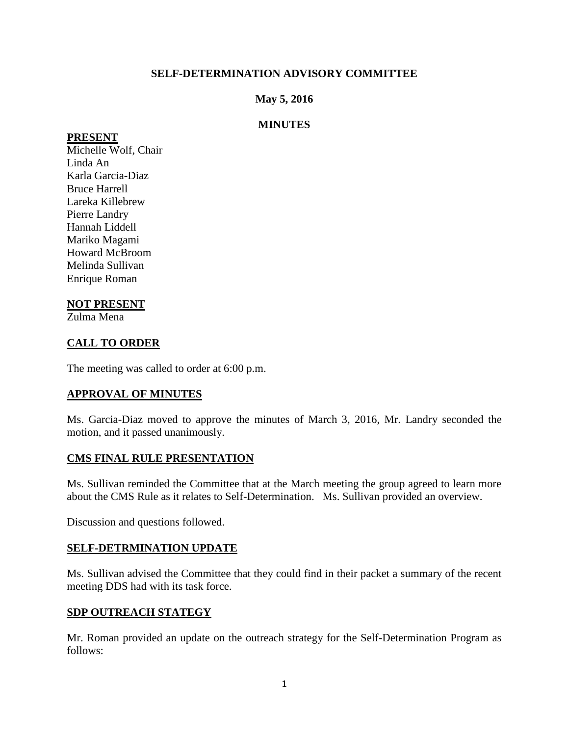## **SELF-DETERMINATION ADVISORY COMMITTEE**

## **May 5, 2016**

## **MINUTES**

#### **PRESENT**

Michelle Wolf, Chair Linda An Karla Garcia-Diaz Bruce Harrell Lareka Killebrew Pierre Landry Hannah Liddell Mariko Magami Howard McBroom Melinda Sullivan Enrique Roman

### **NOT PRESENT**

Zulma Mena

# **CALL TO ORDER**

The meeting was called to order at 6:00 p.m.

### **APPROVAL OF MINUTES**

Ms. Garcia-Diaz moved to approve the minutes of March 3, 2016, Mr. Landry seconded the motion, and it passed unanimously.

### **CMS FINAL RULE PRESENTATION**

Ms. Sullivan reminded the Committee that at the March meeting the group agreed to learn more about the CMS Rule as it relates to Self-Determination. Ms. Sullivan provided an overview.

Discussion and questions followed.

#### **SELF-DETRMINATION UPDATE**

Ms. Sullivan advised the Committee that they could find in their packet a summary of the recent meeting DDS had with its task force.

#### **SDP OUTREACH STATEGY**

Mr. Roman provided an update on the outreach strategy for the Self-Determination Program as follows: